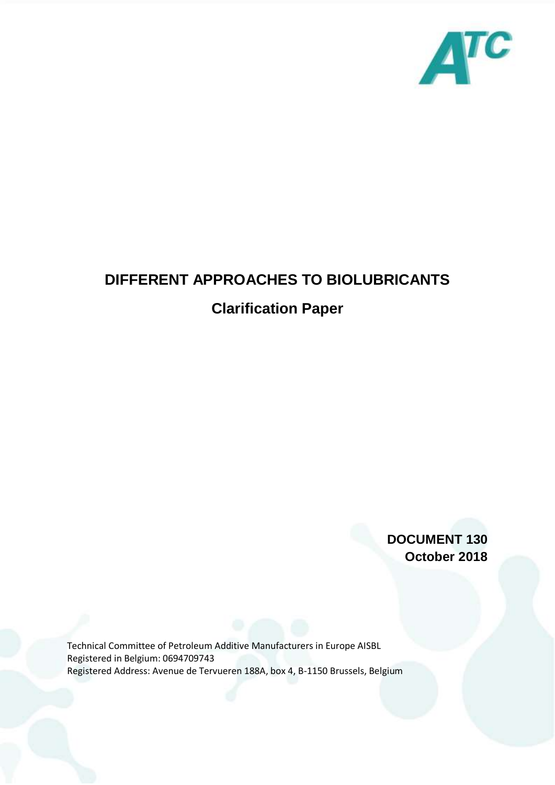

## **DIFFERENT APPROACHES TO BIOLUBRICANTS**

## **Clarification Paper**

**DOCUMENT 130 October 2018**

Technical Committee of Petroleum Additive Manufacturers in Europe AISBL Registered in Belgium: 0694709743 Registered Address: Avenue de Tervueren 188A, box 4, B-1150 Brussels, Belgium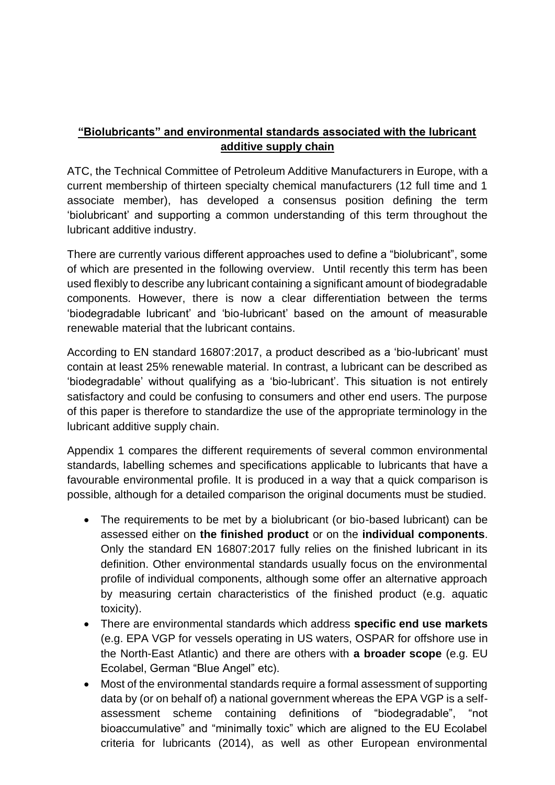## **"Biolubricants" and environmental standards associated with the lubricant additive supply chain**

ATC, the Technical Committee of Petroleum Additive Manufacturers in Europe, with a current membership of thirteen specialty chemical manufacturers (12 full time and 1 associate member), has developed a consensus position defining the term 'biolubricant' and supporting a common understanding of this term throughout the lubricant additive industry.

There are currently various different approaches used to define a "biolubricant", some of which are presented in the following overview. Until recently this term has been used flexibly to describe any lubricant containing a significant amount of biodegradable components. However, there is now a clear differentiation between the terms 'biodegradable lubricant' and 'bio-lubricant' based on the amount of measurable renewable material that the lubricant contains.

According to EN standard 16807:2017, a product described as a 'bio-lubricant' must contain at least 25% renewable material. In contrast, a lubricant can be described as 'biodegradable' without qualifying as a 'bio-lubricant'. This situation is not entirely satisfactory and could be confusing to consumers and other end users. The purpose of this paper is therefore to standardize the use of the appropriate terminology in the lubricant additive supply chain.

Appendix 1 compares the different requirements of several common environmental standards, labelling schemes and specifications applicable to lubricants that have a favourable environmental profile. It is produced in a way that a quick comparison is possible, although for a detailed comparison the original documents must be studied.

- The requirements to be met by a biolubricant (or bio-based lubricant) can be assessed either on **the finished product** or on the **individual components**. Only the standard EN 16807:2017 fully relies on the finished lubricant in its definition. Other environmental standards usually focus on the environmental profile of individual components, although some offer an alternative approach by measuring certain characteristics of the finished product (e.g. aquatic toxicity).
- There are environmental standards which address **specific end use markets** (e.g. EPA VGP for vessels operating in US waters, OSPAR for offshore use in the North-East Atlantic) and there are others with **a broader scope** (e.g. EU Ecolabel, German "Blue Angel" etc).
- Most of the environmental standards require a formal assessment of supporting data by (or on behalf of) a national government whereas the EPA VGP is a selfassessment scheme containing definitions of "biodegradable", "not bioaccumulative" and "minimally toxic" which are aligned to the EU Ecolabel criteria for lubricants (2014), as well as other European environmental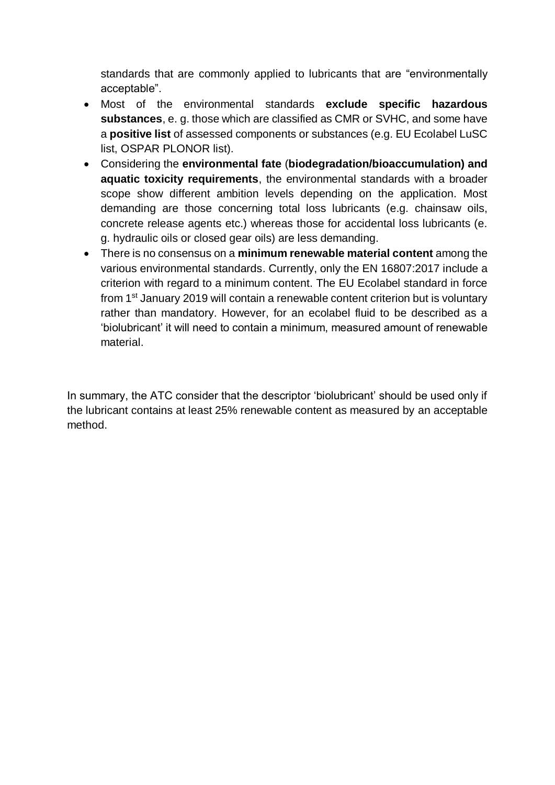standards that are commonly applied to lubricants that are "environmentally acceptable".

- Most of the environmental standards **exclude specific hazardous substances**, e. g. those which are classified as CMR or SVHC, and some have a **positive list** of assessed components or substances (e.g. EU Ecolabel LuSC list, OSPAR PLONOR list).
- Considering the **environmental fate** (**biodegradation/bioaccumulation) and aquatic toxicity requirements**, the environmental standards with a broader scope show different ambition levels depending on the application. Most demanding are those concerning total loss lubricants (e.g. chainsaw oils, concrete release agents etc.) whereas those for accidental loss lubricants (e. g. hydraulic oils or closed gear oils) are less demanding.
- There is no consensus on a **minimum renewable material content** among the various environmental standards. Currently, only the EN 16807:2017 include a criterion with regard to a minimum content. The EU Ecolabel standard in force from 1<sup>st</sup> January 2019 will contain a renewable content criterion but is voluntary rather than mandatory. However, for an ecolabel fluid to be described as a 'biolubricant' it will need to contain a minimum, measured amount of renewable material.

In summary, the ATC consider that the descriptor 'biolubricant' should be used only if the lubricant contains at least 25% renewable content as measured by an acceptable method.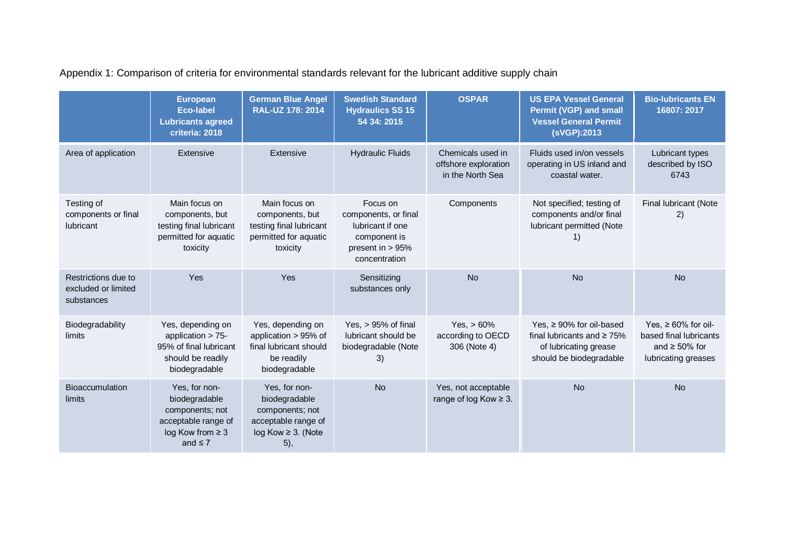Appendix 1: Comparison of criteria for environmental standards relevant for the lubricant additive supply chain

|                                                          | <b>European</b><br><b>Eco-label</b><br><b>Lubricants agreed</b><br>criteria: 2018                                   | <b>German Blue Angel</b><br><b>RAL-UZ 178: 2014</b>                                                         | <b>Swedish Standard</b><br><b>Hydraulics SS 15</b><br>54 34: 2015                                           | <b>OSPAR</b>                                                  | <b>US EPA Vessel General</b><br><b>Permit (VGP) and small</b><br><b>Vessel General Permit</b><br>(sVGP):2013           | <b>Bio-lubricants EN</b><br>16807: 2017                                                           |
|----------------------------------------------------------|---------------------------------------------------------------------------------------------------------------------|-------------------------------------------------------------------------------------------------------------|-------------------------------------------------------------------------------------------------------------|---------------------------------------------------------------|------------------------------------------------------------------------------------------------------------------------|---------------------------------------------------------------------------------------------------|
| Area of application                                      | Extensive                                                                                                           | Extensive                                                                                                   | <b>Hydraulic Fluids</b>                                                                                     | Chemicals used in<br>offshore exploration<br>in the North Sea | Fluids used in/on vessels<br>operating in US inland and<br>coastal water.                                              | Lubricant types<br>described by ISO<br>6743                                                       |
| Testing of<br>components or final<br>lubricant           | Main focus on<br>components, but<br>testing final lubricant<br>permitted for aquatic<br>toxicity                    | Main focus on<br>components, but<br>testing final lubricant<br>permitted for aquatic<br>toxicity            | Focus on<br>components, or final<br>lubricant if one<br>component is<br>present in $> 95%$<br>concentration | Components                                                    | Not specified; testing of<br>components and/or final<br>lubricant permitted (Note<br>1)                                | Final lubricant (Note<br>2)                                                                       |
| Restrictions due to<br>excluded or limited<br>substances | Yes                                                                                                                 | Yes                                                                                                         | Sensitizing<br>substances only                                                                              | <b>No</b>                                                     | <b>No</b>                                                                                                              | <b>No</b>                                                                                         |
| Biodegradability<br>limits                               | Yes, depending on<br>application $> 75$ -<br>95% of final lubricant<br>should be readily<br>biodegradable           | Yes, depending on<br>application > 95% of<br>final lubricant should<br>be readily<br>biodegradable          | Yes, $> 95%$ of final<br>lubricant should be<br>biodegradable (Note<br>3)                                   | $Yes, > 60\%$<br>according to OECD<br>306 (Note 4)            | Yes, $\geq 90\%$ for oil-based<br>final lubricants and $\geq 75\%$<br>of lubricating grease<br>should be biodegradable | Yes, $\geq 60\%$ for oil-<br>based final lubricants<br>and $\geq 50\%$ for<br>lubricating greases |
| Bioaccumulation<br>limits                                | Yes, for non-<br>biodegradable<br>components; not<br>acceptable range of<br>$log$ Kow from $\geq$ 3<br>and $\leq 7$ | Yes, for non-<br>biodegradable<br>components; not<br>acceptable range of<br>$log Kow \geq 3$ . (Note<br>5), | <b>No</b>                                                                                                   | Yes, not acceptable<br>range of log Kow ≥ 3.                  | <b>No</b>                                                                                                              | <b>No</b>                                                                                         |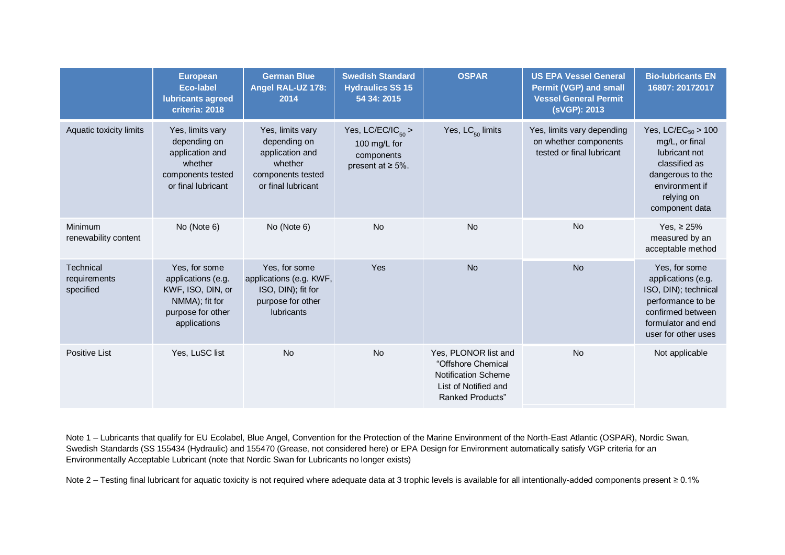|                                        | <b>European</b><br><b>Eco-label</b><br>lubricants agreed<br>criteria: 2018                                      | <b>German Blue</b><br>Angel RAL-UZ 178:<br>2014                                                           | <b>Swedish Standard</b><br><b>Hydraulics SS 15</b><br>54 34: 2015               | <b>OSPAR</b>                                                                                                         | <b>US EPA Vessel General</b><br><b>Permit (VGP) and small</b><br><b>Vessel General Permit</b><br>(sVGP): 2013 | <b>Bio-lubricants EN</b><br>16807: 20172017                                                                                                        |
|----------------------------------------|-----------------------------------------------------------------------------------------------------------------|-----------------------------------------------------------------------------------------------------------|---------------------------------------------------------------------------------|----------------------------------------------------------------------------------------------------------------------|---------------------------------------------------------------------------------------------------------------|----------------------------------------------------------------------------------------------------------------------------------------------------|
| Aquatic toxicity limits                | Yes, limits vary<br>depending on<br>application and<br>whether<br>components tested<br>or final lubricant       | Yes, limits vary<br>depending on<br>application and<br>whether<br>components tested<br>or final lubricant | Yes, $LC/EC/IC_{50}$ ><br>100 mg/L for<br>components<br>present at $\geq 5\%$ . | Yes, $LC_{50}$ limits                                                                                                | Yes, limits vary depending<br>on whether components<br>tested or final lubricant                              | Yes, $LC/EC_{50} > 100$<br>mg/L, or final<br>lubricant not<br>classified as<br>dangerous to the<br>environment if<br>relying on<br>component data  |
| Minimum<br>renewability content        | No (Note 6)                                                                                                     | No (Note 6)                                                                                               | <b>No</b>                                                                       | <b>No</b>                                                                                                            | <b>No</b>                                                                                                     | Yes, $\geq 25\%$<br>measured by an<br>acceptable method                                                                                            |
| Technical<br>requirements<br>specified | Yes, for some<br>applications (e.g.<br>KWF, ISO, DIN, or<br>NMMA); fit for<br>purpose for other<br>applications | Yes, for some<br>applications (e.g. KWF,<br>ISO, DIN); fit for<br>purpose for other<br><b>lubricants</b>  | Yes                                                                             | <b>No</b>                                                                                                            | <b>No</b>                                                                                                     | Yes, for some<br>applications (e.g.<br>ISO, DIN); technical<br>performance to be<br>confirmed between<br>formulator and end<br>user for other uses |
| Positive List                          | Yes, LuSC list                                                                                                  | <b>No</b>                                                                                                 | <b>No</b>                                                                       | Yes, PLONOR list and<br>"Offshore Chemical<br>Notification Scheme<br>List of Notified and<br><b>Ranked Products"</b> | <b>No</b>                                                                                                     | Not applicable                                                                                                                                     |

Note 1 – Lubricants that qualify for EU Ecolabel, Blue Angel, Convention for the Protection of the Marine Environment of the North-East Atlantic (OSPAR), Nordic Swan, Swedish Standards (SS 155434 (Hydraulic) and 155470 (Grease, not considered here) or EPA Design for Environment automatically satisfy VGP criteria for an Environmentally Acceptable Lubricant (note that Nordic Swan for Lubricants no longer exists)

Note 2 – Testing final lubricant for aquatic toxicity is not required where adequate data at 3 trophic levels is available for all intentionally-added components present ≥ 0.1%